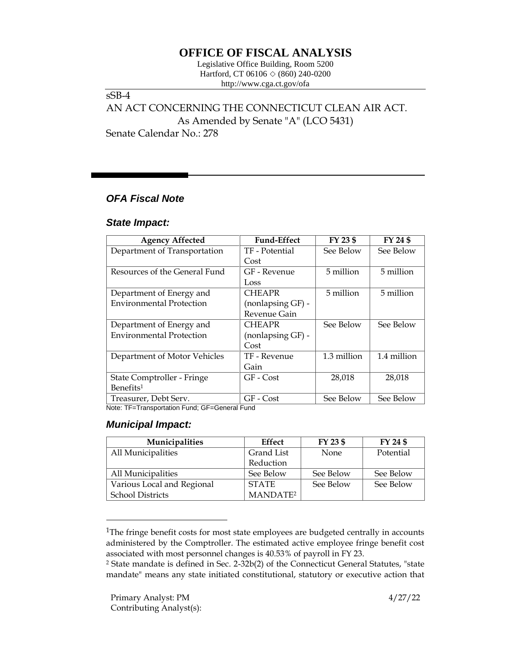# **OFFICE OF FISCAL ANALYSIS**

Legislative Office Building, Room 5200 Hartford, CT 06106  $\Diamond$  (860) 240-0200 http://www.cga.ct.gov/ofa

sSB-4 AN ACT CONCERNING THE CONNECTICUT CLEAN AIR ACT. As Amended by Senate "A" (LCO 5431) Senate Calendar No.: 278

### *OFA Fiscal Note*

#### *State Impact:*

| <b>Agency Affected</b>                              | <b>Fund-Effect</b>       | FY 23 \$    | FY 24 \$    |
|-----------------------------------------------------|--------------------------|-------------|-------------|
| Department of Transportation                        | TF - Potential           | See Below   | See Below   |
|                                                     | Cost                     |             |             |
| Resources of the General Fund                       | GF - Revenue             | 5 million   | 5 million   |
|                                                     | Loss                     |             |             |
| Department of Energy and                            | <b>CHEAPR</b>            | 5 million   | 5 million   |
| <b>Environmental Protection</b>                     | (nonlapsing GF) -        |             |             |
|                                                     | Revenue Gain             |             |             |
| Department of Energy and                            | <b>CHEAPR</b>            | See Below   | See Below   |
| <b>Environmental Protection</b>                     | (nonlapsing GF) -        |             |             |
|                                                     | Cost                     |             |             |
| Department of Motor Vehicles                        | TF - Revenue             | 1.3 million | 1.4 million |
|                                                     | Gain                     |             |             |
| State Comptroller - Fringe                          | GF - Cost                | 28,018      | 28,018      |
| Benefits <sup>1</sup>                               |                          |             |             |
| Treasurer, Debt Serv.<br>$\cdots$ $\cdots$ $\cdots$ | GF - Cost<br>$\cdot$ $-$ | See Below   | See Below   |

Note: TF=Transportation Fund; GF=General Fund

#### *Municipal Impact:*

| Municipalities             | <b>Effect</b>        | FY 23 \$  | FY 24 \$  |
|----------------------------|----------------------|-----------|-----------|
| All Municipalities         | Grand List           | None      | Potential |
|                            | Reduction            |           |           |
| All Municipalities         | See Below            | See Below | See Below |
| Various Local and Regional | <b>STATE</b>         | See Below | See Below |
| <b>School Districts</b>    | MANDATE <sup>2</sup> |           |           |

<sup>&</sup>lt;sup>1</sup>The fringe benefit costs for most state employees are budgeted centrally in accounts administered by the Comptroller. The estimated active employee fringe benefit cost associated with most personnel changes is 40.53% of payroll in FY 23.

<sup>2</sup> State mandate is defined in Sec. 2-32b(2) of the Connecticut General Statutes, "state mandate" means any state initiated constitutional, statutory or executive action that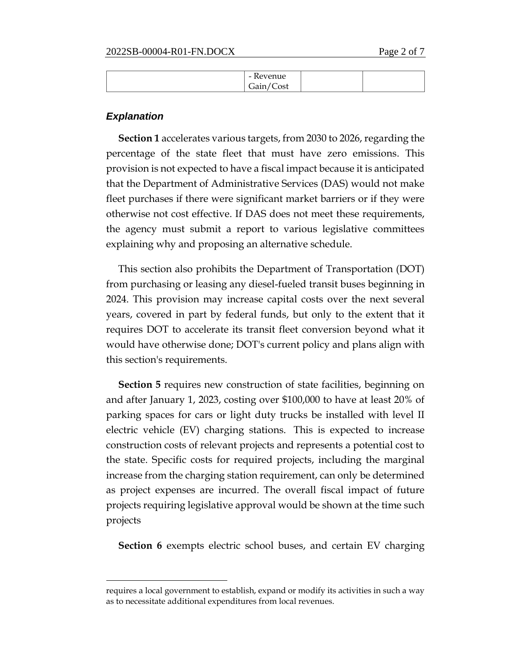| <b>D</b><br>- Kevenue      |  |
|----------------------------|--|
| $\sqrt{ }$<br>Gain<br>Cost |  |

#### *Explanation*

**Section 1** accelerates various targets, from 2030 to 2026, regarding the percentage of the state fleet that must have zero emissions. This provision is not expected to have a fiscal impact because it is anticipated that the Department of Administrative Services (DAS) would not make fleet purchases if there were significant market barriers or if they were otherwise not cost effective. If DAS does not meet these requirements, the agency must submit a report to various legislative committees explaining why and proposing an alternative schedule.

This section also prohibits the Department of Transportation (DOT) from purchasing or leasing any diesel-fueled transit buses beginning in 2024. This provision may increase capital costs over the next several years, covered in part by federal funds, but only to the extent that it requires DOT to accelerate its transit fleet conversion beyond what it would have otherwise done; DOT's current policy and plans align with this section's requirements.

**Section 5** requires new construction of state facilities, beginning on and after January 1, 2023, costing over \$100,000 to have at least 20% of parking spaces for cars or light duty trucks be installed with level II electric vehicle (EV) charging stations. This is expected to increase construction costs of relevant projects and represents a potential cost to the state. Specific costs for required projects, including the marginal increase from the charging station requirement, can only be determined as project expenses are incurred. The overall fiscal impact of future projects requiring legislative approval would be shown at the time such projects

**Section 6** exempts electric school buses, and certain EV charging

requires a local government to establish, expand or modify its activities in such a way as to necessitate additional expenditures from local revenues.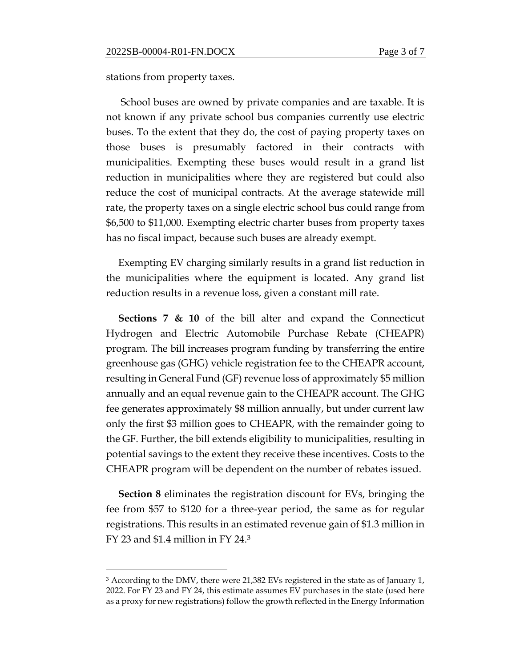stations from property taxes.

School buses are owned by private companies and are taxable. It is not known if any private school bus companies currently use electric buses. To the extent that they do, the cost of paying property taxes on those buses is presumably factored in their contracts with municipalities. Exempting these buses would result in a grand list reduction in municipalities where they are registered but could also reduce the cost of municipal contracts. At the average statewide mill rate, the property taxes on a single electric school bus could range from \$6,500 to \$11,000. Exempting electric charter buses from property taxes has no fiscal impact, because such buses are already exempt.

Exempting EV charging similarly results in a grand list reduction in the municipalities where the equipment is located. Any grand list reduction results in a revenue loss, given a constant mill rate.

**Sections 7 & 10** of the bill alter and expand the Connecticut Hydrogen and Electric Automobile Purchase Rebate (CHEAPR) program. The bill increases program funding by transferring the entire greenhouse gas (GHG) vehicle registration fee to the CHEAPR account, resulting in General Fund (GF) revenue loss of approximately \$5 million annually and an equal revenue gain to the CHEAPR account. The GHG fee generates approximately \$8 million annually, but under current law only the first \$3 million goes to CHEAPR, with the remainder going to the GF. Further, the bill extends eligibility to municipalities, resulting in potential savings to the extent they receive these incentives. Costs to the CHEAPR program will be dependent on the number of rebates issued.

**Section 8** eliminates the registration discount for EVs, bringing the fee from \$57 to \$120 for a three-year period, the same as for regular registrations. This results in an estimated revenue gain of \$1.3 million in FY 23 and \$1.4 million in FY 24.<sup>3</sup>

<sup>&</sup>lt;sup>3</sup> According to the DMV, there were 21,382 EVs registered in the state as of January 1, 2022. For FY 23 and FY 24, this estimate assumes EV purchases in the state (used here as a proxy for new registrations) follow the growth reflected in the Energy Information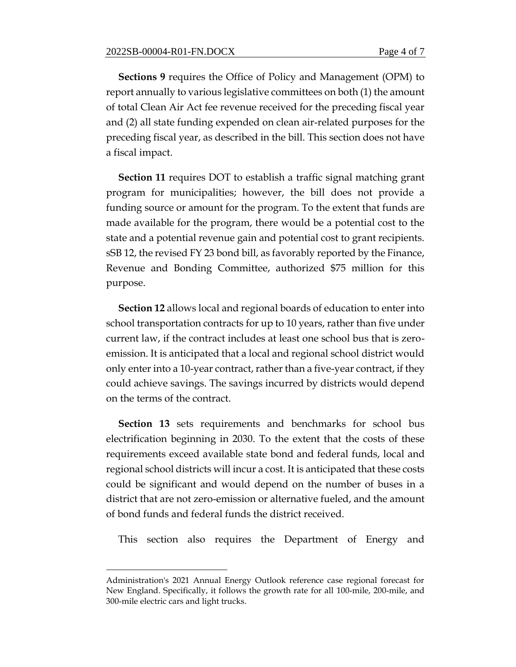**Sections 9** requires the Office of Policy and Management (OPM) to report annually to various legislative committees on both (1) the amount of total Clean Air Act fee revenue received for the preceding fiscal year and (2) all state funding expended on clean air-related purposes for the preceding fiscal year, as described in the bill. This section does not have a fiscal impact.

**Section 11** requires DOT to establish a traffic signal matching grant program for municipalities; however, the bill does not provide a funding source or amount for the program. To the extent that funds are made available for the program, there would be a potential cost to the state and a potential revenue gain and potential cost to grant recipients. sSB 12, the revised FY 23 bond bill, as favorably reported by the Finance, Revenue and Bonding Committee, authorized \$75 million for this purpose.

**Section 12** allows local and regional boards of education to enter into school transportation contracts for up to 10 years, rather than five under current law, if the contract includes at least one school bus that is zeroemission. It is anticipated that a local and regional school district would only enter into a 10-year contract, rather than a five-year contract, if they could achieve savings. The savings incurred by districts would depend on the terms of the contract.

**Section 13** sets requirements and benchmarks for school bus electrification beginning in 2030. To the extent that the costs of these requirements exceed available state bond and federal funds, local and regional school districts will incur a cost. It is anticipated that these costs could be significant and would depend on the number of buses in a district that are not zero-emission or alternative fueled, and the amount of bond funds and federal funds the district received.

This section also requires the Department of Energy and

Administration's 2021 Annual Energy Outlook reference case regional forecast for New England. Specifically, it follows the growth rate for all 100-mile, 200-mile, and 300-mile electric cars and light trucks.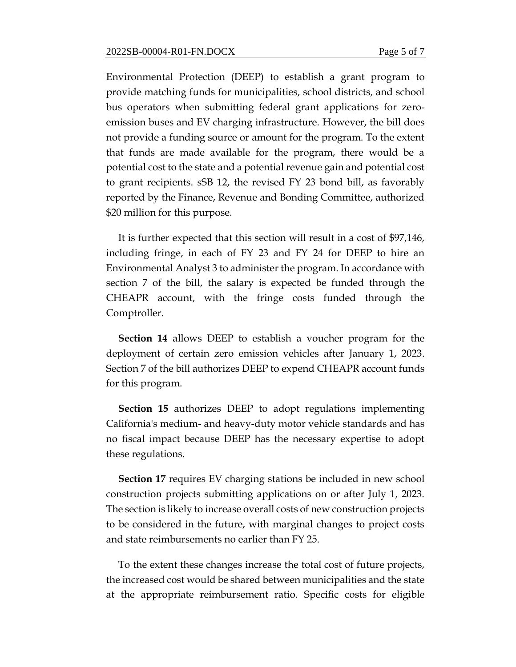Environmental Protection (DEEP) to establish a grant program to provide matching funds for municipalities, school districts, and school bus operators when submitting federal grant applications for zeroemission buses and EV charging infrastructure. However, the bill does not provide a funding source or amount for the program. To the extent that funds are made available for the program, there would be a potential cost to the state and a potential revenue gain and potential cost to grant recipients. sSB 12, the revised FY 23 bond bill, as favorably reported by the Finance, Revenue and Bonding Committee, authorized \$20 million for this purpose.

It is further expected that this section will result in a cost of \$97,146, including fringe, in each of FY 23 and FY 24 for DEEP to hire an Environmental Analyst 3 to administer the program. In accordance with section 7 of the bill, the salary is expected be funded through the CHEAPR account, with the fringe costs funded through the Comptroller.

**Section 14** allows DEEP to establish a voucher program for the deployment of certain zero emission vehicles after January 1, 2023. Section 7 of the bill authorizes DEEP to expend CHEAPR account funds for this program.

**Section 15** authorizes DEEP to adopt regulations implementing California's medium- and heavy-duty motor vehicle standards and has no fiscal impact because DEEP has the necessary expertise to adopt these regulations.

**Section 17** requires EV charging stations be included in new school construction projects submitting applications on or after July 1, 2023. The section is likely to increase overall costs of new construction projects to be considered in the future, with marginal changes to project costs and state reimbursements no earlier than FY 25.

To the extent these changes increase the total cost of future projects, the increased cost would be shared between municipalities and the state at the appropriate reimbursement ratio. Specific costs for eligible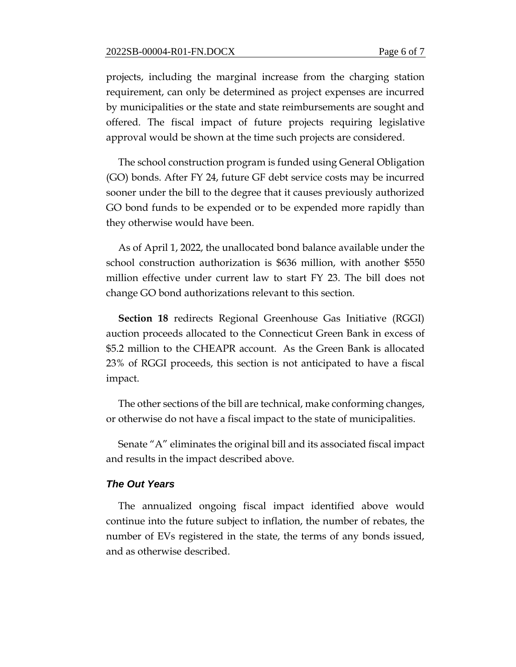projects, including the marginal increase from the charging station requirement, can only be determined as project expenses are incurred by municipalities or the state and state reimbursements are sought and offered. The fiscal impact of future projects requiring legislative approval would be shown at the time such projects are considered.

The school construction program is funded using General Obligation (GO) bonds. After FY 24, future GF debt service costs may be incurred sooner under the bill to the degree that it causes previously authorized GO bond funds to be expended or to be expended more rapidly than they otherwise would have been.

As of April 1, 2022, the unallocated bond balance available under the school construction authorization is \$636 million, with another \$550 million effective under current law to start FY 23. The bill does not change GO bond authorizations relevant to this section.

**Section 18** redirects Regional Greenhouse Gas Initiative (RGGI) auction proceeds allocated to the Connecticut Green Bank in excess of \$5.2 million to the CHEAPR account. As the Green Bank is allocated 23% of RGGI proceeds, this section is not anticipated to have a fiscal impact.

The other sections of the bill are technical, make conforming changes, or otherwise do not have a fiscal impact to the state of municipalities.

Senate "A" eliminates the original bill and its associated fiscal impact and results in the impact described above.

## *The Out Years*

The annualized ongoing fiscal impact identified above would continue into the future subject to inflation, the number of rebates, the number of EVs registered in the state, the terms of any bonds issued, and as otherwise described.